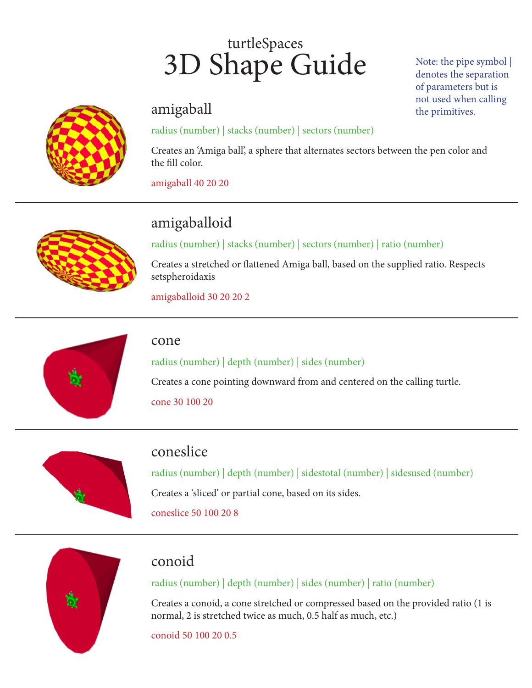# turtleSpaces 3D Shape Guide

#### amigaball

#### radius (number) | stacks (number) | sectors (number)

Creates an 'Amiga ball', a sphere that alternates sectors between the pen color and the fill color.

amigaball 40 20 20



# amigaballoid

radius (number) | stacks (number) | sectors (number) | ratio (number)

Creates a stretched or flattened Amiga ball, based on the supplied ratio. Respects setspheroidaxis

amigaballoid 30 20 20 2



#### cone

radius (number) | depth (number) | sides (number)

Creates a cone pointing downward from and centered on the calling turtle. cone 30 100 20



## coneslice

radius (number) | depth (number) | sidestotal (number) | sidesused (number) Creates a 'sliced' or partial cone, based on its sides. coneslice 50 100 20 8



#### conoid

#### radius (number) | depth (number) | sides (number) | ratio (number)

Creates a conoid, a cone stretched or compressed based on the provided ratio (1 is normal, 2 is stretched twice as much, 0.5 half as much, etc.)

conoid 50 100 20 0.5

Note: the pipe symbol | denotes the separation of parameters but is not used when calling the primitives.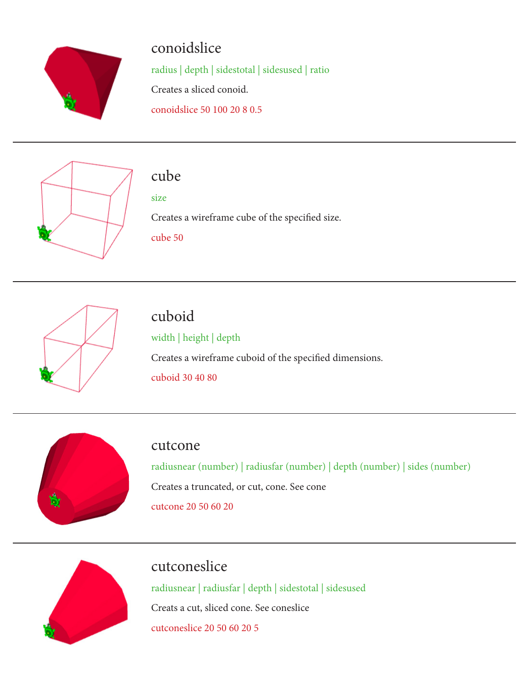

## conoidslice

radius | depth | sidestotal | sidesused | ratio Creates a sliced conoid.

conoidslice 50 100 20 8 0.5



## cube

size

Creates a wireframe cube of the specified size.

cube 50



# cuboid

width | height | depth Creates a wireframe cuboid of the specified dimensions. cuboid 30 40 80



#### cutcone

radiusnear (number) | radiusfar (number) | depth (number) | sides (number) Creates a truncated, or cut, cone. See cone cutcone 20 50 60 20



## cutconeslice

radiusnear | radiusfar | depth | sidestotal | sidesused Creats a cut, sliced cone. See coneslice cutconeslice 20 50 60 20 5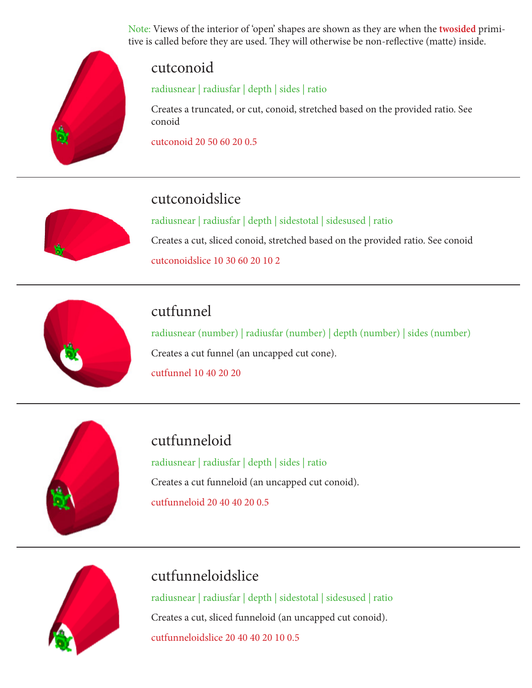Note: Views of the interior of 'open' shapes are shown as they are when the **twosided** primitive is called before they are used. They will otherwise be non-reflective (matte) inside.



#### cutconoid

radiusnear | radiusfar | depth | sides | ratio

Creates a truncated, or cut, conoid, stretched based on the provided ratio. See conoid

cutconoid 20 50 60 20 0.5



# cutconoidslice

radiusnear | radiusfar | depth | sidestotal | sidesused | ratio Creates a cut, sliced conoid, stretched based on the provided ratio. See conoid cutconoidslice 10 30 60 20 10 2



## cutfunnel

radiusnear (number) | radiusfar (number) | depth (number) | sides (number) Creates a cut funnel (an uncapped cut cone). cutfunnel 10 40 20 20



cutfunneloid

radiusnear | radiusfar | depth | sides | ratio Creates a cut funneloid (an uncapped cut conoid). cutfunneloid 20 40 40 20 0.5



## cutfunneloidslice

radiusnear | radiusfar | depth | sidestotal | sidesused | ratio Creates a cut, sliced funneloid (an uncapped cut conoid). cutfunneloidslice 20 40 40 20 10 0.5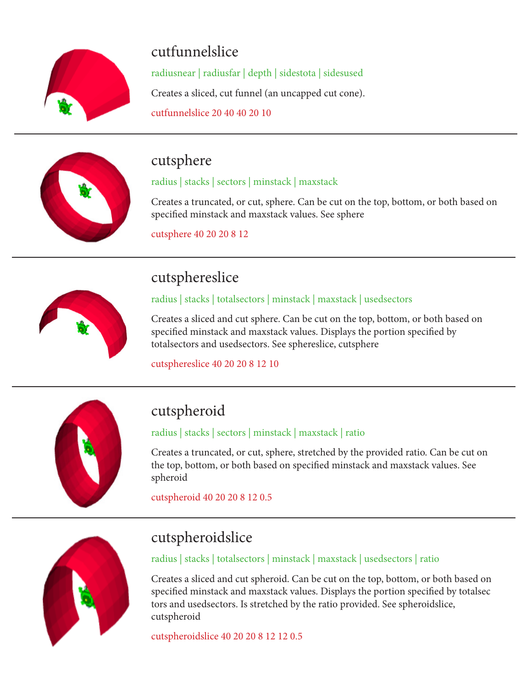

# cutfunnelslice

radiusnear | radiusfar | depth | sidestota | sidesused Creates a sliced, cut funnel (an uncapped cut cone). cutfunnelslice 20 40 40 20 10



## cutsphere

#### radius | stacks | sectors | minstack | maxstack

Creates a truncated, or cut, sphere. Can be cut on the top, bottom, or both based on specified minstack and maxstack values. See sphere

cutsphere 40 20 20 8 12



## cutsphereslice

radius | stacks | totalsectors | minstack | maxstack | usedsectors

Creates a sliced and cut sphere. Can be cut on the top, bottom, or both based on specified minstack and maxstack values. Displays the portion specified by totalsectors and usedsectors. See sphereslice, cutsphere

cutsphereslice 40 20 20 8 12 10



# cutspheroid

radius | stacks | sectors | minstack | maxstack | ratio

Creates a truncated, or cut, sphere, stretched by the provided ratio. Can be cut on the top, bottom, or both based on specified minstack and maxstack values. See spheroid

cutspheroid 40 20 20 8 12 0.5



# cutspheroidslice

radius | stacks | totalsectors | minstack | maxstack | usedsectors | ratio

Creates a sliced and cut spheroid. Can be cut on the top, bottom, or both based on specified minstack and maxstack values. Displays the portion specified by totalsec tors and usedsectors. Is stretched by the ratio provided. See spheroidslice, cutspheroid

cutspheroidslice 40 20 20 8 12 12 0.5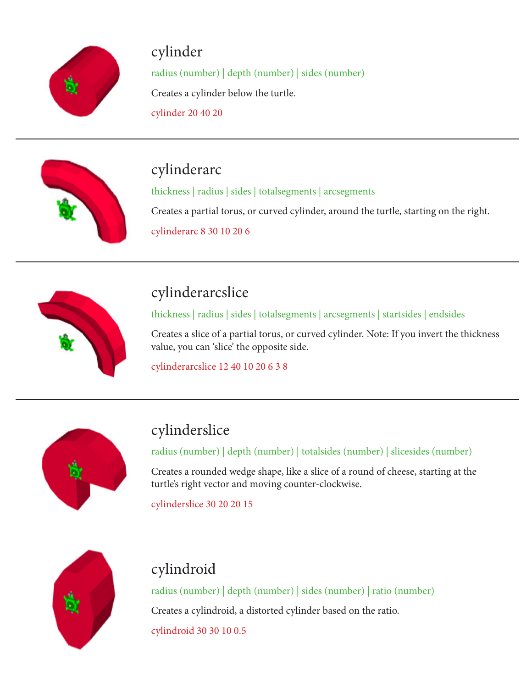

# cylinder

radius (number) | depth (number) | sides (number) Creates a cylinder below the turtle. cylinder 20 40 20



# cylinderarc

thickness | radius | sides | totalsegments | arcsegments

Creates a partial torus, or curved cylinder, around the turtle, starting on the right.

cylinderarc 8 30 10 20 6



# cylinderarcslice

thickness | radius | sides | totalsegments | arcsegments | startsides | endsides

Creates a slice of a partial torus, or curved cylinder. Note: If you invert the thickness value, you can 'slice' the opposite side.

cylinderarcslice 12 40 10 20 6 3 8



# cylinderslice

radius (number) | depth (number) | totalsides (number) | slicesides (number)

Creates a rounded wedge shape, like a slice of a round of cheese, starting at the turtle's right vector and moving counter-clockwise.

cylinderslice 30 20 20 15



# cylindroid

radius (number) | depth (number) | sides (number) | ratio (number) Creates a cylindroid, a distorted cylinder based on the ratio. cylindroid 30 30 10 0.5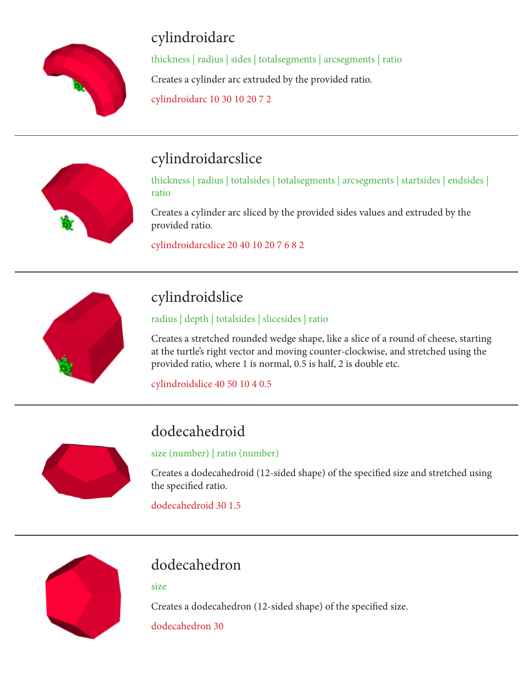

# cylindroidarc

thickness | radius | sides | totalsegments | arcsegments | ratio Creates a cylinder arc extruded by the provided ratio. cylindroidarc 10 30 10 20 7 2



# cylindroidarcslice

thickness | radius | totalsides | totalsegments | arcsegments | startsides | endsides | ratio

Creates a cylinder arc sliced by the provided sides values and extruded by the provided ratio.

cylindroidarcslice 20 40 10 20 7 6 8 2



# cylindroidslice

radius | depth | totalsides | slicesides | ratio

Creates a stretched rounded wedge shape, like a slice of a round of cheese, starting at the turtle's right vector and moving counter-clockwise, and stretched using the provided ratio, where 1 is normal, 0.5 is half, 2 is double etc.

cylindroidslice 40 50 10 4 0.5



# dodecahedroid

size (number) | ratio (number)

Creates a dodecahedroid (12-sided shape) of the specified size and stretched using the specified ratio.

dodecahedroid 30 1.5



# dodecahedron

size

Creates a dodecahedron (12-sided shape) of the specified size.

dodecahedron 30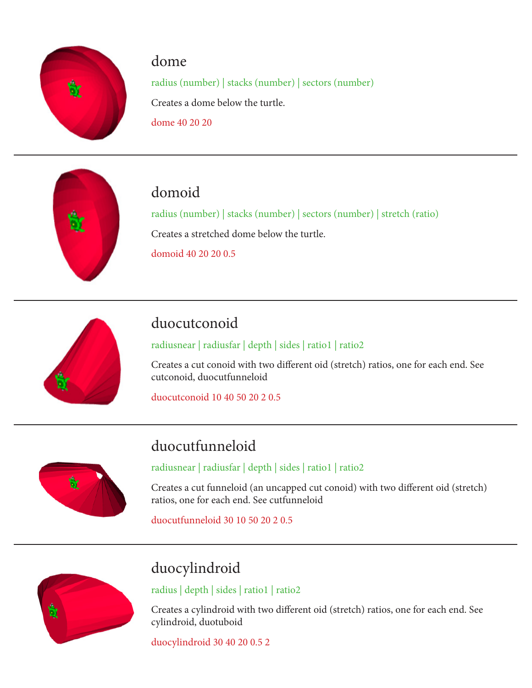

#### dome

radius (number) | stacks (number) | sectors (number) Creates a dome below the turtle. dome 40 20 20



## domoid

radius (number) | stacks (number) | sectors (number) | stretch (ratio) Creates a stretched dome below the turtle. domoid 40 20 20 0.5



# duocutconoid

radiusnear | radiusfar | depth | sides | ratio1 | ratio2

Creates a cut conoid with two different oid (stretch) ratios, one for each end. See cutconoid, duocutfunneloid

duocutconoid 10 40 50 20 2 0.5



# duocutfunneloid

radiusnear | radiusfar | depth | sides | ratio1 | ratio2

Creates a cut funneloid (an uncapped cut conoid) with two different oid (stretch) ratios, one for each end. See cutfunneloid

duocutfunneloid 30 10 50 20 2 0.5



# duocylindroid

radius | depth | sides | ratio1 | ratio2

Creates a cylindroid with two different oid (stretch) ratios, one for each end. See cylindroid, duotuboid

duocylindroid 30 40 20 0.5 2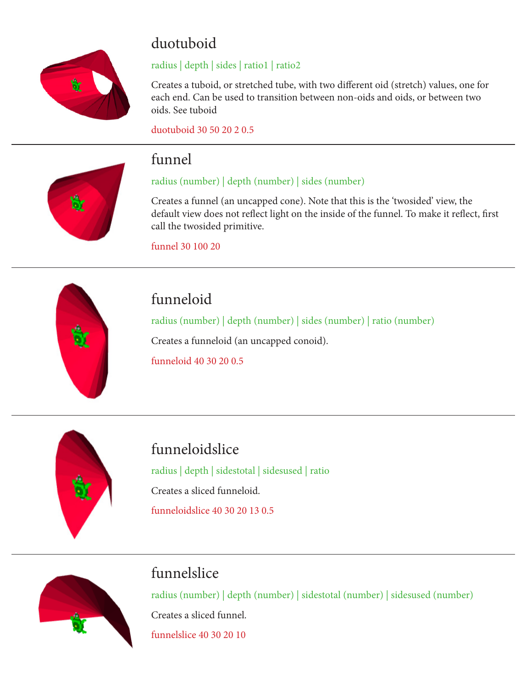

# duotuboid

#### radius | depth | sides | ratio1 | ratio2

Creates a tuboid, or stretched tube, with two different oid (stretch) values, one for each end. Can be used to transition between non-oids and oids, or between two oids. See tuboid

duotuboid 30 50 20 2 0.5



## funnel

#### radius (number) | depth (number) | sides (number)

Creates a funnel (an uncapped cone). Note that this is the 'twosided' view, the default view does not reflect light on the inside of the funnel. To make it reflect, first call the twosided primitive.

funnel 30 100 20



# funneloid

radius (number) | depth (number) | sides (number) | ratio (number) Creates a funneloid (an uncapped conoid). funneloid 40 30 20 0.5



# funneloidslice

radius | depth | sidestotal | sidesused | ratio Creates a sliced funneloid. funneloidslice 40 30 20 13 0.5



## funnelslice

radius (number) | depth (number) | sidestotal (number) | sidesused (number) Creates a sliced funnel.

funnelslice 40 30 20 10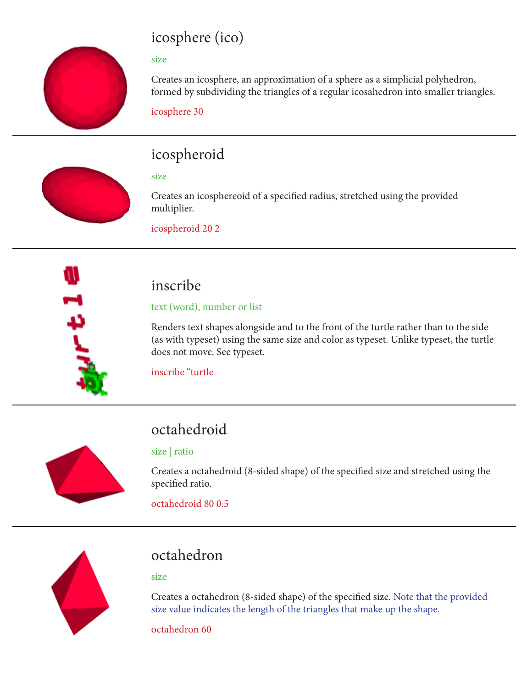# icosphere (ico)

#### size

Creates an icosphere, an approximation of a sphere as a simplicial polyhedron, formed by subdividing the triangles of a regular icosahedron into smaller triangles.

icosphere 30



# icospheroid

#### size

Creates an icosphereoid of a specified radius, stretched using the provided multiplier.

icospheroid 20 2



## inscribe

#### text (word), number or list

Renders text shapes alongside and to the front of the turtle rather than to the side (as with typeset) using the same size and color as typeset. Unlike typeset, the turtle does not move. See typeset.

inscribe "turtle



# octahedroid

#### size | ratio

Creates a octahedroid (8-sided shape) of the specified size and stretched using the specified ratio.

octahedroid 80 0.5



## octahedron

size

Creates a octahedron (8-sided shape) of the specified size. Note that the provided size value indicates the length of the triangles that make up the shape.

octahedron 60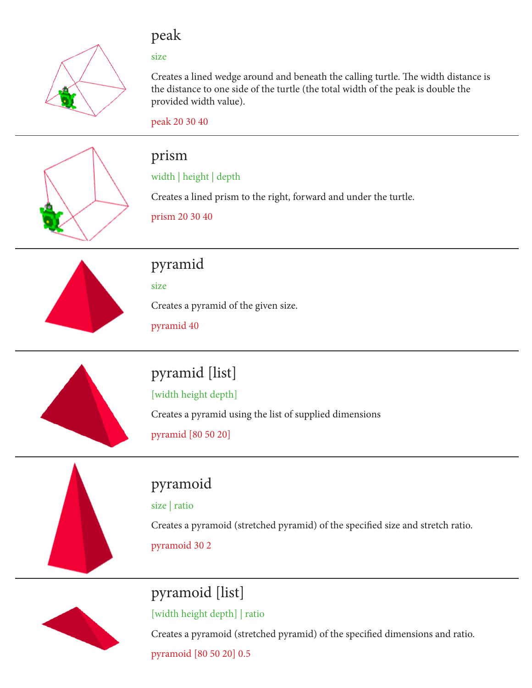

#### peak

size

Creates a lined wedge around and beneath the calling turtle. The width distance is the distance to one side of the turtle (the total width of the peak is double the provided width value).

peak 20 30 40



#### prism

#### width | height | depth

Creates a lined prism to the right, forward and under the turtle.

prism 20 30 40



# pyramid

size

Creates a pyramid of the given size.

pyramid 40



# pyramid [list]

[width height depth]

Creates a pyramid using the list of supplied dimensions

pyramid [80 50 20]

# pyramoid

size | ratio

Creates a pyramoid (stretched pyramid) of the specified size and stretch ratio.

pyramoid 30 2

# pyramoid [list]

[width height depth] | ratio

Creates a pyramoid (stretched pyramid) of the specified dimensions and ratio.

pyramoid [80 50 20] 0.5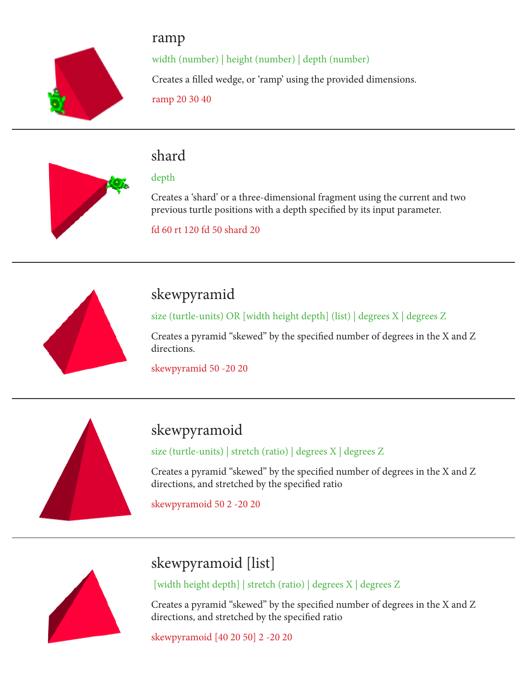

ramp width (number) | height (number) | depth (number) Creates a filled wedge, or 'ramp' using the provided dimensions. ramp 20 30 40



## shard

#### depth

Creates a 'shard' or a three-dimensional fragment using the current and two previous turtle positions with a depth specified by its input parameter.

fd 60 rt 120 fd 50 shard 20



# skewpyramid

size (turtle-units) OR [width height depth] (list) | degrees X | degrees Z

Creates a pyramid "skewed" by the specified number of degrees in the X and Z directions.

skewpyramid 50 -20 20



# skewpyramoid

size (turtle-units) | stretch (ratio) | degrees X | degrees Z

Creates a pyramid "skewed" by the specified number of degrees in the X and Z directions, and stretched by the specified ratio

skewpyramoid 50 2 -20 20



# skewpyramoid [list]

[width height depth] | stretch (ratio) | degrees X | degrees Z

Creates a pyramid "skewed" by the specified number of degrees in the X and Z directions, and stretched by the specified ratio

skewpyramoid [40 20 50] 2 -20 20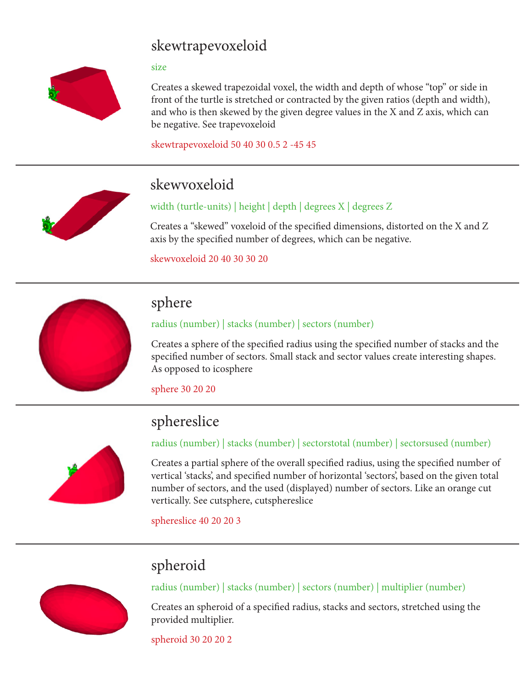## skewtrapevoxeloid

#### size



Creates a skewed trapezoidal voxel, the width and depth of whose "top" or side in front of the turtle is stretched or contracted by the given ratios (depth and width), and who is then skewed by the given degree values in the X and Z axis, which can be negative. See trapevoxeloid

skewtrapevoxeloid 50 40 30 0.5 2 -45 45



## skewvoxeloid

#### width (turtle-units) | height | depth | degrees X | degrees Z

Creates a "skewed" voxeloid of the specified dimensions, distorted on the X and Z axis by the specified number of degrees, which can be negative.

skewvoxeloid 20 40 30 30 20



#### sphere

#### radius (number) | stacks (number) | sectors (number)

Creates a sphere of the specified radius using the specified number of stacks and the specified number of sectors. Small stack and sector values create interesting shapes. As opposed to icosphere

sphere 30 20 20

## sphereslice



#### radius (number) | stacks (number) | sectorstotal (number) | sectorsused (number)

Creates a partial sphere of the overall specified radius, using the specified number of vertical 'stacks', and specified number of horizontal 'sectors', based on the given total number of sectors, and the used (displayed) number of sectors. Like an orange cut vertically. See cutsphere, cutsphereslice

sphereslice 40 20 20 3

## spheroid



radius (number) | stacks (number) | sectors (number) | multiplier (number)

Creates an spheroid of a specified radius, stacks and sectors, stretched using the provided multiplier.

spheroid 30 20 20 2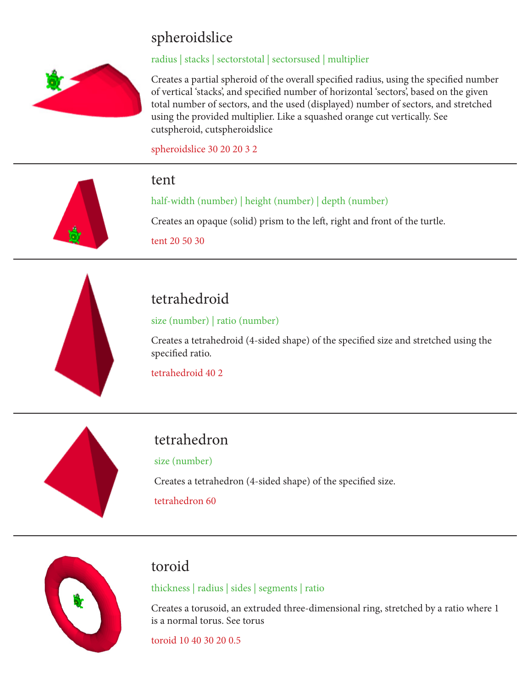# spheroidslice



#### radius | stacks | sectorstotal | sectorsused | multiplier

Creates a partial spheroid of the overall specified radius, using the specified number of vertical 'stacks', and specified number of horizontal 'sectors', based on the given total number of sectors, and the used (displayed) number of sectors, and stretched using the provided multiplier. Like a squashed orange cut vertically. See cutspheroid, cutspheroidslice

spheroidslice 30 20 20 3 2



#### tent

half-width (number) | height (number) | depth (number)

Creates an opaque (solid) prism to the left, right and front of the turtle.

tent 20 50 30



# tetrahedroid

size (number) | ratio (number)

Creates a tetrahedroid (4-sided shape) of the specified size and stretched using the specified ratio.

tetrahedroid 40 2



## tetrahedron

size (number)

Creates a tetrahedron (4-sided shape) of the specified size.

tetrahedron 60



#### toroid

thickness | radius | sides | segments | ratio

Creates a torusoid, an extruded three-dimensional ring, stretched by a ratio where 1 is a normal torus. See torus

toroid 10 40 30 20 0.5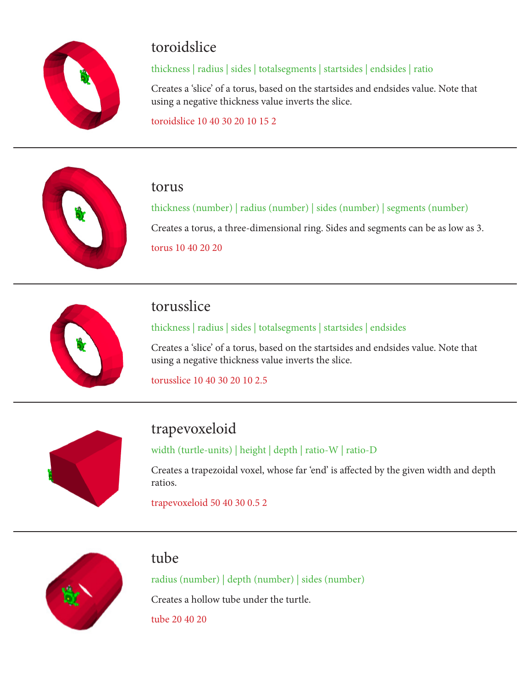

#### toroidslice

#### thickness | radius | sides | totalsegments | startsides | endsides | ratio

Creates a 'slice' of a torus, based on the startsides and endsides value. Note that using a negative thickness value inverts the slice.

toroidslice 10 40 30 20 10 15 2



#### torus

thickness (number) | radius (number) | sides (number) | segments (number) Creates a torus, a three-dimensional ring. Sides and segments can be as low as 3. torus 10 40 20 20



## torusslice

thickness | radius | sides | totalsegments | startsides | endsides

Creates a 'slice' of a torus, based on the startsides and endsides value. Note that using a negative thickness value inverts the slice.

torusslice 10 40 30 20 10 2.5



# trapevoxeloid

width (turtle-units) | height | depth | ratio-W | ratio-D

Creates a trapezoidal voxel, whose far 'end' is affected by the given width and depth ratios.

trapevoxeloid 50 40 30 0.5 2



#### tube

radius (number) | depth (number) | sides (number) Creates a hollow tube under the turtle.

tube 20 40 20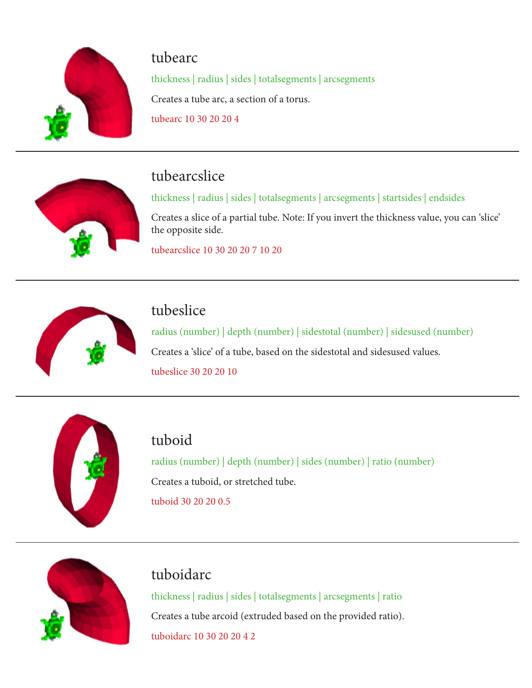

#### tubearc

thickness | radius | sides | totalsegments | arcsegments Creates a tube arc, a section of a torus.

tubearc 10 30 20 20 4



## tubearcslice

thickness | radius | sides | totalsegments | arcsegments | startsides | endsides

Creates a slice of a partial tube. Note: If you invert the thickness value, you can 'slice' the opposite side.

tubearcslice 10 30 20 20 7 10 20



## tubeslice

radius (number) | depth (number) | sidestotal (number) | sidesused (number) Creates a 'slice' of a tube, based on the sidestotal and sidesused values. tubeslice 30 20 20 10



## tuboid

radius (number) | depth (number) | sides (number) | ratio (number) Creates a tuboid, or stretched tube. tuboid 30 20 20 0.5



## tuboidarc

thickness | radius | sides | totalsegments | arcsegments | ratio Creates a tube arcoid (extruded based on the provided ratio). tuboidarc 10 30 20 20 4 2